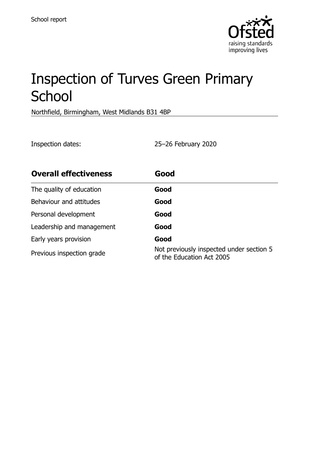

# Inspection of Turves Green Primary **School**

Northfield, Birmingham, West Midlands B31 4BP

Inspection dates: 25–26 February 2020

| <b>Overall effectiveness</b> | Good                                                                  |
|------------------------------|-----------------------------------------------------------------------|
| The quality of education     | Good                                                                  |
| Behaviour and attitudes      | Good                                                                  |
| Personal development         | Good                                                                  |
| Leadership and management    | Good                                                                  |
| Early years provision        | Good                                                                  |
| Previous inspection grade    | Not previously inspected under section 5<br>of the Education Act 2005 |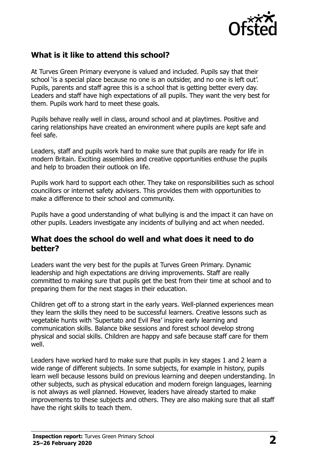

## **What is it like to attend this school?**

At Turves Green Primary everyone is valued and included. Pupils say that their school 'is a special place because no one is an outsider, and no one is left out'. Pupils, parents and staff agree this is a school that is getting better every day. Leaders and staff have high expectations of all pupils. They want the very best for them. Pupils work hard to meet these goals.

Pupils behave really well in class, around school and at playtimes. Positive and caring relationships have created an environment where pupils are kept safe and feel safe.

Leaders, staff and pupils work hard to make sure that pupils are ready for life in modern Britain. Exciting assemblies and creative opportunities enthuse the pupils and help to broaden their outlook on life.

Pupils work hard to support each other. They take on responsibilities such as school councillors or internet safety advisers. This provides them with opportunities to make a difference to their school and community.

Pupils have a good understanding of what bullying is and the impact it can have on other pupils. Leaders investigate any incidents of bullying and act when needed.

#### **What does the school do well and what does it need to do better?**

Leaders want the very best for the pupils at Turves Green Primary. Dynamic leadership and high expectations are driving improvements. Staff are really committed to making sure that pupils get the best from their time at school and to preparing them for the next stages in their education.

Children get off to a strong start in the early years. Well-planned experiences mean they learn the skills they need to be successful learners. Creative lessons such as vegetable hunts with 'Supertato and Evil Pea' inspire early learning and communication skills. Balance bike sessions and forest school develop strong physical and social skills. Children are happy and safe because staff care for them well.

Leaders have worked hard to make sure that pupils in key stages 1 and 2 learn a wide range of different subjects. In some subjects, for example in history, pupils learn well because lessons build on previous learning and deepen understanding. In other subjects, such as physical education and modern foreign languages, learning is not always as well planned. However, leaders have already started to make improvements to these subjects and others. They are also making sure that all staff have the right skills to teach them.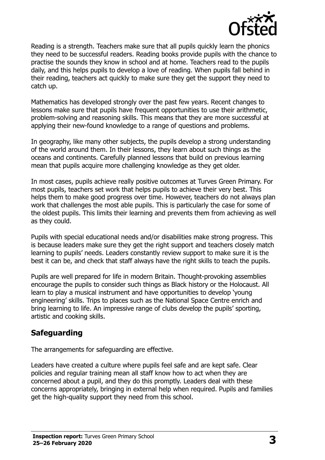

Reading is a strength. Teachers make sure that all pupils quickly learn the phonics they need to be successful readers. Reading books provide pupils with the chance to practise the sounds they know in school and at home. Teachers read to the pupils daily, and this helps pupils to develop a love of reading. When pupils fall behind in their reading, teachers act quickly to make sure they get the support they need to catch up.

Mathematics has developed strongly over the past few years. Recent changes to lessons make sure that pupils have frequent opportunities to use their arithmetic, problem-solving and reasoning skills. This means that they are more successful at applying their new-found knowledge to a range of questions and problems.

In geography, like many other subjects, the pupils develop a strong understanding of the world around them. In their lessons, they learn about such things as the oceans and continents. Carefully planned lessons that build on previous learning mean that pupils acquire more challenging knowledge as they get older.

In most cases, pupils achieve really positive outcomes at Turves Green Primary. For most pupils, teachers set work that helps pupils to achieve their very best. This helps them to make good progress over time. However, teachers do not always plan work that challenges the most able pupils. This is particularly the case for some of the oldest pupils. This limits their learning and prevents them from achieving as well as they could.

Pupils with special educational needs and/or disabilities make strong progress. This is because leaders make sure they get the right support and teachers closely match learning to pupils' needs. Leaders constantly review support to make sure it is the best it can be, and check that staff always have the right skills to teach the pupils.

Pupils are well prepared for life in modern Britain. Thought-provoking assemblies encourage the pupils to consider such things as Black history or the Holocaust. All learn to play a musical instrument and have opportunities to develop 'young engineering' skills. Trips to places such as the National Space Centre enrich and bring learning to life. An impressive range of clubs develop the pupils' sporting, artistic and cooking skills.

## **Safeguarding**

The arrangements for safeguarding are effective.

Leaders have created a culture where pupils feel safe and are kept safe. Clear policies and regular training mean all staff know how to act when they are concerned about a pupil, and they do this promptly. Leaders deal with these concerns appropriately, bringing in external help when required. Pupils and families get the high-quality support they need from this school.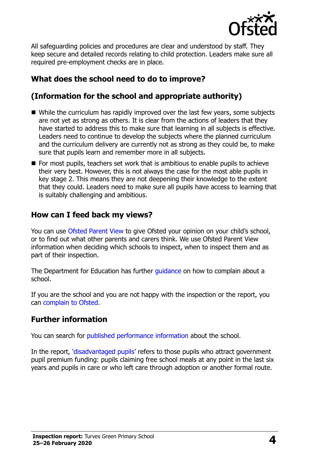

All safeguarding policies and procedures are clear and understood by staff. They keep secure and detailed records relating to child protection. Leaders make sure all required pre-employment checks are in place.

## **What does the school need to do to improve?**

## **(Information for the school and appropriate authority)**

- While the curriculum has rapidly improved over the last few vears, some subjects are not yet as strong as others. It is clear from the actions of leaders that they have started to address this to make sure that learning in all subjects is effective. Leaders need to continue to develop the subjects where the planned curriculum and the curriculum delivery are currently not as strong as they could be, to make sure that pupils learn and remember more in all subjects.
- For most pupils, teachers set work that is ambitious to enable pupils to achieve their very best. However, this is not always the case for the most able pupils in key stage 2. This means they are not deepening their knowledge to the extent that they could. Leaders need to make sure all pupils have access to learning that is suitably challenging and ambitious.

#### **How can I feed back my views?**

You can use [Ofsted Parent View](http://parentview.ofsted.gov.uk/) to give Ofsted your opinion on your child's school, or to find out what other parents and carers think. We use Ofsted Parent View information when deciding which schools to inspect, when to inspect them and as part of their inspection.

The Department for Education has further quidance on how to complain about a school.

If you are the school and you are not happy with the inspection or the report, you can [complain to Ofsted.](http://www.gov.uk/complain-ofsted-report)

### **Further information**

You can search for [published performance information](http://www.compare-school-performance.service.gov.uk/) about the school.

In the report, '[disadvantaged pupils](http://www.gov.uk/guidance/pupil-premium-information-for-schools-and-alternative-provision-settings)' refers to those pupils who attract government pupil premium funding: pupils claiming free school meals at any point in the last six years and pupils in care or who left care through adoption or another formal route.

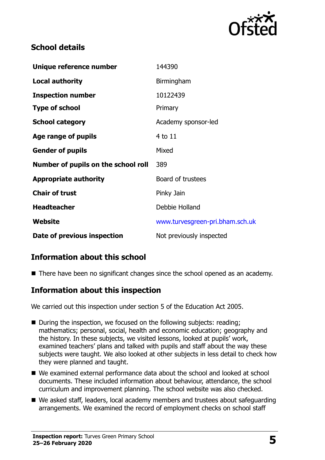

## **School details**

| Unique reference number             | 144390                          |
|-------------------------------------|---------------------------------|
| <b>Local authority</b>              | Birmingham                      |
| <b>Inspection number</b>            | 10122439                        |
| <b>Type of school</b>               | Primary                         |
| <b>School category</b>              | Academy sponsor-led             |
| Age range of pupils                 | 4 to 11                         |
| <b>Gender of pupils</b>             | Mixed                           |
| Number of pupils on the school roll | 389                             |
| <b>Appropriate authority</b>        | Board of trustees               |
| <b>Chair of trust</b>               | Pinky Jain                      |
| <b>Headteacher</b>                  | Debbie Holland                  |
| <b>Website</b>                      | www.turvesgreen-pri.bham.sch.uk |
| Date of previous inspection         | Not previously inspected        |

## **Information about this school**

■ There have been no significant changes since the school opened as an academy.

### **Information about this inspection**

We carried out this inspection under section 5 of the Education Act 2005.

- During the inspection, we focused on the following subjects: reading: mathematics; personal, social, health and economic education; geography and the history. In these subjects, we visited lessons, looked at pupils' work, examined teachers' plans and talked with pupils and staff about the way these subjects were taught. We also looked at other subjects in less detail to check how they were planned and taught.
- We examined external performance data about the school and looked at school documents. These included information about behaviour, attendance, the school curriculum and improvement planning. The school website was also checked.
- We asked staff, leaders, local academy members and trustees about safeguarding arrangements. We examined the record of employment checks on school staff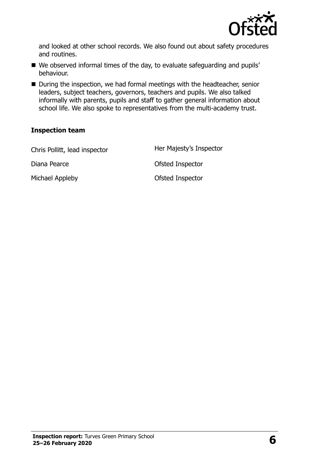

and looked at other school records. We also found out about safety procedures and routines.

- We observed informal times of the day, to evaluate safeguarding and pupils' behaviour.
- During the inspection, we had formal meetings with the headteacher, senior leaders, subject teachers, governors, teachers and pupils. We also talked informally with parents, pupils and staff to gather general information about school life. We also spoke to representatives from the multi-academy trust.

#### **Inspection team**

| Chris Pollitt, lead inspector | Her Majesty's Inspector |
|-------------------------------|-------------------------|
| Diana Pearce                  | Ofsted Inspector        |
| Michael Appleby               | Ofsted Inspector        |